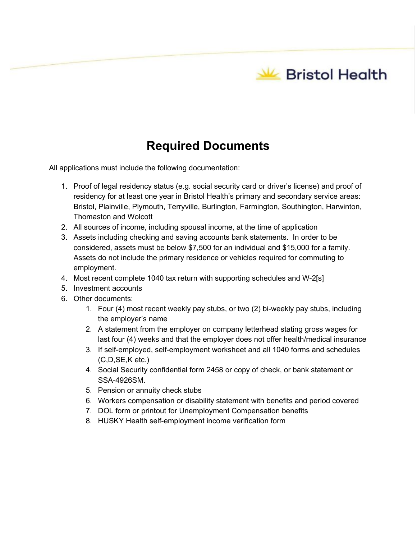**W** Bristol Health

## **Required Documents**

All applications must include the following documentation:

- 1. Proof of legal residency status (e.g. social security card or driver's license) and proof of residency for at least one year in Bristol Health's primary and secondary service areas: Bristol, Plainville, Plymouth, Terryville, Burlington, Farmington, Southington, Harwinton, Thomaston and Wolcott
- 2. All sources of income, including spousal income, at the time of application
- 3. Assets including checking and saving accounts bank statements. In order to be considered, assets must be below \$7,500 for an individual and \$15,000 for a family. Assets do not include the primary residence or vehicles required for commuting to employment.
- 4. Most recent complete 1040 tax return with supporting schedules and W-2[s]
- 5. Investment accounts
- 6. Other documents:
	- 1. Four (4) most recent weekly pay stubs, or two (2) bi-weekly pay stubs, including the employer's name
	- 2. A statement from the employer on company letterhead stating gross wages for last four (4) weeks and that the employer does not offer health/medical insurance
	- 3. If self-employed, self-employment worksheet and all 1040 forms and schedules (C,D,SE,K etc.)
	- 4. Social Security confidential form 2458 or copy of check, or bank statement or SSA-4926SM.
	- 5. Pension or annuity check stubs
	- 6. Workers compensation or disability statement with benefits and period covered
	- 7. DOL form or printout for Unemployment Compensation benefits
	- 8. HUSKY Health self-employment income verification form